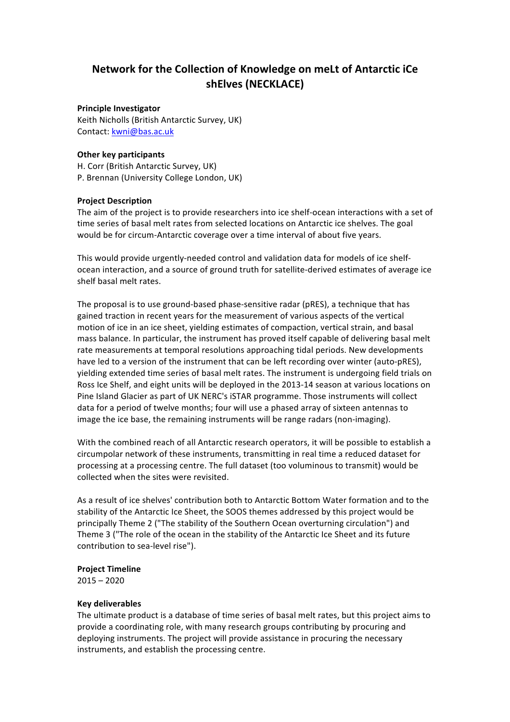# **Network for the Collection of Knowledge on meLt of Antarctic iCe shElves((NECKLACE)**

## **Principle Investigator**

Keith Nicholls (British Antarctic Survey, UK) Contact: kwni@bas.ac.uk

## **Other key participants**

H. Corr (British Antarctic Survey, UK) P. Brennan (University College London, UK)

# **Project Description**

The aim of the project is to provide researchers into ice shelf-ocean interactions with a set of time series of basal melt rates from selected locations on Antarctic ice shelves. The goal would be for circum-Antarctic coverage over a time interval of about five years.

This would provide urgently-needed control and validation data for models of ice shelfocean interaction, and a source of ground truth for satellite-derived estimates of average ice shelf basal melt rates.

The proposal is to use ground-based phase-sensitive radar (pRES), a technique that has gained traction in recent years for the measurement of various aspects of the vertical motion of ice in an ice sheet, yielding estimates of compaction, vertical strain, and basal mass balance. In particular, the instrument has proved itself capable of delivering basal melt rate measurements at temporal resolutions approaching tidal periods. New developments have led to a version of the instrument that can be left recording over winter (auto-pRES), yielding extended time series of basal melt rates. The instrument is undergoing field trials on Ross Ice Shelf, and eight units will be deployed in the 2013-14 season at various locations on Pine Island Glacier as part of UK NERC's iSTAR programme. Those instruments will collect data for a period of twelve months; four will use a phased array of sixteen antennas to image the ice base, the remaining instruments will be range radars (non-imaging).

With the combined reach of all Antarctic research operators, it will be possible to establish a circumpolar network of these instruments, transmitting in real time a reduced dataset for processing at a processing centre. The full dataset (too voluminous to transmit) would be collected when the sites were revisited.

As a result of ice shelves' contribution both to Antarctic Bottom Water formation and to the stability of the Antarctic Ice Sheet, the SOOS themes addressed by this project would be principally Theme 2 ("The stability of the Southern Ocean overturning circulation") and Theme 3 ("The role of the ocean in the stability of the Antarctic Ice Sheet and its future contribution to sea-level rise").

# **Project Timeline**

 $2015 - 2020$ 

## **Key deliverables**

The ultimate product is a database of time series of basal melt rates, but this project aims to provide a coordinating role, with many research groups contributing by procuring and deploying instruments. The project will provide assistance in procuring the necessary instruments, and establish the processing centre.